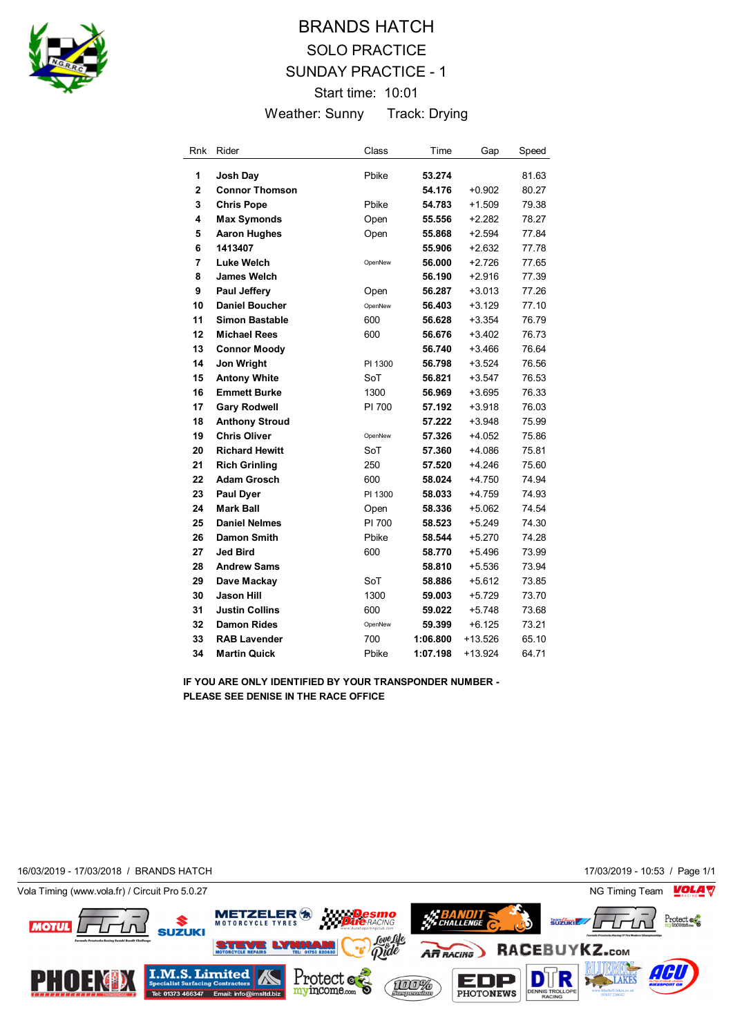

# BRANDS HATCH SOLO PRACTICE SUNDAY PRACTICE - 1 Start time: 10:01 Weather: Sunny Track: Drying

| Rnk                     | Rider                 | Class   | Time     | Gap       | Speed |
|-------------------------|-----------------------|---------|----------|-----------|-------|
| 1                       | Josh Day              | Pbike   | 53.274   |           | 81.63 |
| $\overline{\mathbf{2}}$ | <b>Connor Thomson</b> |         | 54.176   | $+0.902$  | 80.27 |
| 3                       | <b>Chris Pope</b>     | Pbike   | 54.783   | $+1.509$  | 79.38 |
| 4                       | <b>Max Symonds</b>    | Open    | 55.556   | +2.282    | 78.27 |
| 5                       | <b>Aaron Hughes</b>   | Open    | 55.868   | $+2.594$  | 77.84 |
| 6                       | 1413407               |         | 55.906   | $+2.632$  | 77.78 |
| 7                       | <b>Luke Welch</b>     | OpenNew | 56.000   | $+2.726$  | 77.65 |
| 8                       | <b>James Welch</b>    |         | 56.190   | $+2.916$  | 77.39 |
| 9                       | <b>Paul Jeffery</b>   | Open    | 56.287   | +3.013    | 77.26 |
| 10                      | <b>Daniel Boucher</b> | OpenNew | 56.403   | $+3.129$  | 77.10 |
| 11                      | <b>Simon Bastable</b> | 600     | 56.628   | $+3.354$  | 76.79 |
| 12                      | <b>Michael Rees</b>   | 600     | 56.676   | $+3.402$  | 76.73 |
| 13                      | <b>Connor Moody</b>   |         | 56.740   | $+3.466$  | 76.64 |
| 14                      | Jon Wright            | PI 1300 | 56.798   | $+3.524$  | 76.56 |
| 15                      | <b>Antony White</b>   | SoT     | 56.821   | $+3.547$  | 76.53 |
| 16                      | <b>Emmett Burke</b>   | 1300    | 56.969   | $+3.695$  | 76.33 |
| 17                      | <b>Gary Rodwell</b>   | PI 700  | 57.192   | $+3.918$  | 76.03 |
| 18                      | <b>Anthony Stroud</b> |         | 57.222   | $+3.948$  | 75.99 |
| 19                      | <b>Chris Oliver</b>   | OpenNew | 57.326   | +4.052    | 75.86 |
| 20                      | <b>Richard Hewitt</b> | SoT     | 57.360   | $+4.086$  | 75.81 |
| 21                      | <b>Rich Grinling</b>  | 250     | 57.520   | $+4.246$  | 75.60 |
| 22                      | <b>Adam Grosch</b>    | 600     | 58.024   | $+4.750$  | 74.94 |
| 23                      | <b>Paul Dyer</b>      | PI 1300 | 58.033   | $+4.759$  | 74.93 |
| 24                      | <b>Mark Ball</b>      | Open    | 58.336   | +5.062    | 74.54 |
| 25                      | <b>Daniel Nelmes</b>  | PI 700  | 58.523   | $+5.249$  | 74.30 |
| 26                      | Damon Smith           | Pbike   | 58.544   | $+5.270$  | 74.28 |
| 27                      | <b>Jed Bird</b>       | 600     | 58.770   | $+5.496$  | 73.99 |
| 28                      | <b>Andrew Sams</b>    |         | 58.810   | $+5.536$  | 73.94 |
| 29                      | Dave Mackay           | SoT     | 58.886   | +5.612    | 73.85 |
| 30                      | Jason Hill            | 1300    | 59.003   | +5.729    | 73.70 |
| 31                      | <b>Justin Collins</b> | 600     | 59.022   | +5.748    | 73.68 |
| 32                      | <b>Damon Rides</b>    | OpenNew | 59.399   | +6.125    | 73.21 |
| 33                      | <b>RAB Lavender</b>   | 700     | 1:06.800 | $+13.526$ | 65.10 |
| 34                      | Martin Quick          | Pbike   | 1:07.198 | $+13.924$ | 64.71 |

**IF YOU ARE ONLY IDENTIFIED BY YOUR TRANSPONDER NUMBER - PLEASE SEE DENISE IN THE RACE OFFICE**

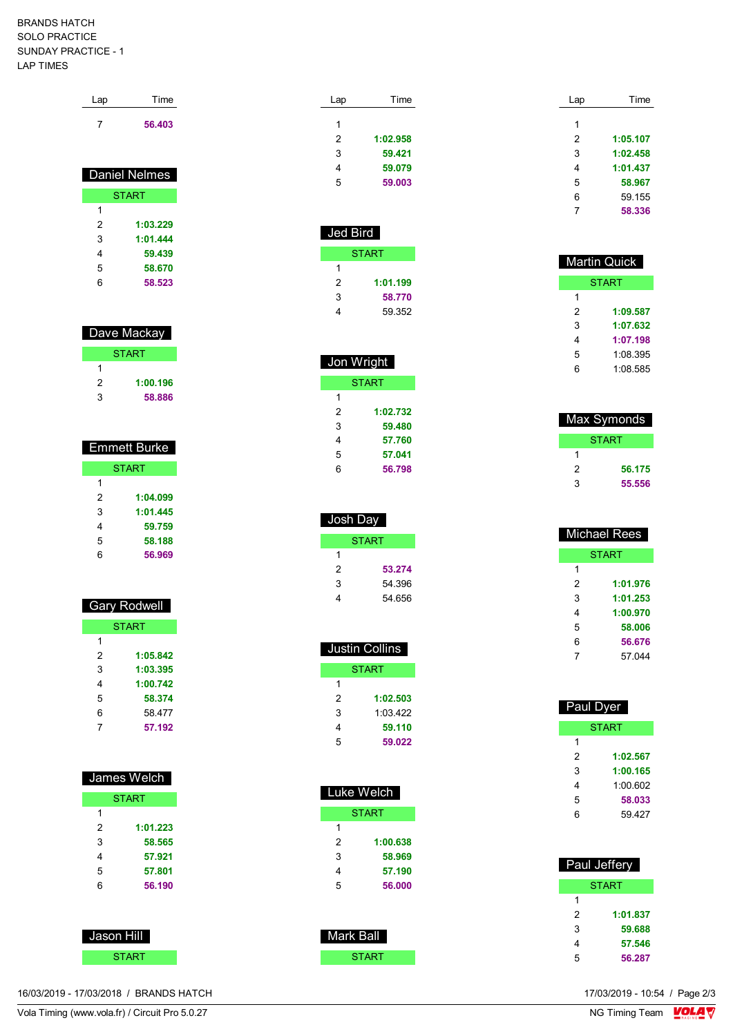### BRANDS HATCH SOLO PRACTICE SUNDAY PRACTICE - 1 LAP TIMES

| Lap | Time                 |
|-----|----------------------|
| 7   | 56.403               |
|     | <b>Daniel Nelmes</b> |
|     | <b>START</b>         |
| 1   |                      |
|     |                      |
| 2   | 1:03.229             |
| 3   | 1:01.444             |
| 4   | 59.439               |
| 5   | 58.670               |

## Dave Mackay

| <b>START</b> |          |  |  |
|--------------|----------|--|--|
|              |          |  |  |
| 2            | 1:00.196 |  |  |
| з            | 58.886   |  |  |

| Emmett Burke |          |  |  |
|--------------|----------|--|--|
| <b>START</b> |          |  |  |
| 1            |          |  |  |
| 2            | 1:04.099 |  |  |
| 3            | 1:01.445 |  |  |
| 4            | 59.759   |  |  |
| 5            | 58.188   |  |  |
| 6            | 56.969   |  |  |

### Gary Rodwell

| <b>START</b> |          |  |
|--------------|----------|--|
| 1            |          |  |
| 2            | 1:05.842 |  |
| 3            | 1:03.395 |  |
| 4            | 1:00.742 |  |
| 5            | 58.374   |  |
| 6            | 58.477   |  |
|              | 57.192   |  |

| James Welch |              |  |
|-------------|--------------|--|
|             | <b>START</b> |  |
|             |              |  |
| 2           | 1:01.223     |  |
| 3           | 58.565       |  |

| 3 | 58.565 |
|---|--------|
| 4 | 57.921 |
| 5 | 57,801 |
| 6 | 56.190 |



16/03/2019 - 17/03/2018 / BRANDS HATCH

| Lap | Time     |  |
|-----|----------|--|
| 1   |          |  |
| 2   | 1:02.958 |  |
| 3   | 59.421   |  |
| 4   | 59.079   |  |
| 5   | 59.003   |  |
|     |          |  |

| Jed Bird |          |  |
|----------|----------|--|
| START    |          |  |
| 1        |          |  |
| 2        | 1:01.199 |  |
| 3        | 58.770   |  |
|          | 59.352   |  |

| Jon Wright   |  |  |
|--------------|--|--|
| <b>START</b> |  |  |
|              |  |  |
| 1:02.732     |  |  |
| 59.480       |  |  |
| 57.760       |  |  |
| 57.041       |  |  |
| 56.798       |  |  |
|              |  |  |

| Josh Day |        |  |
|----------|--------|--|
| START    |        |  |
| 1        |        |  |
| 2        | 53.274 |  |
| 3        | 54.396 |  |
| 4        | 54.656 |  |

| Justin Collins |          |  |
|----------------|----------|--|
| START          |          |  |
| 1              |          |  |
| 2              | 1:02.503 |  |
| 3              | 1:03 422 |  |
| 4              | 59.110   |  |
| 5              | 59.022   |  |

| Luke Welch |          |  |
|------------|----------|--|
| START      |          |  |
| 1          |          |  |
| 2          | 1:00.638 |  |
| 3          | 58.969   |  |
| 4          | 57.190   |  |
| 5          | 56.000   |  |
|            |          |  |

| Mark Ball |  |
|-----------|--|
| START     |  |

| Lap | Time     |
|-----|----------|
|     |          |
| 1   |          |
| 2   | 1:05.107 |
| 3   | 1:02.458 |
| 4   | 1:01.437 |
| 5   | 58.967   |
| 6   | 59.155   |
|     | 58.336   |

| <b>Martin Quick</b> |          |
|---------------------|----------|
| START               |          |
| 1                   |          |
| 2                   | 1:09.587 |
| 3                   | 1:07.632 |
| 4                   | 1:07.198 |
| 5                   | 1:08.395 |
| հ                   | 1:08.585 |

| Max Symonds |        |
|-------------|--------|
| START       |        |
|             |        |
| 2           | 56.175 |
| 3           | 55.556 |

| <b>Michael Rees</b> |              |
|---------------------|--------------|
|                     | <b>START</b> |
| 1                   |              |
| 2                   | 1:01.976     |
| 3                   | 1:01.253     |
| 4                   | 1:00.970     |
| 5                   | 58.006       |
| 6                   | 56.676       |
| 7                   | 57 044       |
|                     |              |

| Paul Dyer |              |
|-----------|--------------|
|           | <b>START</b> |
| 1         |              |
| 2         | 1:02.567     |
| 3         | 1:00.165     |
| 4         | 1:00.602     |
| 5         | 58.033       |
| 6         | 59 427       |
|           |              |

| Paul Jeffery |          |  |
|--------------|----------|--|
| START        |          |  |
| 1            |          |  |
| 2            | 1:01.837 |  |
| 3            | 59.688   |  |
| 4            | 57.546   |  |
| 5            | 56.287   |  |

17/03/2019 - 10:54 / Page 2/3<br>NG Timing Team  $\sqrt{\text{OLA}}$